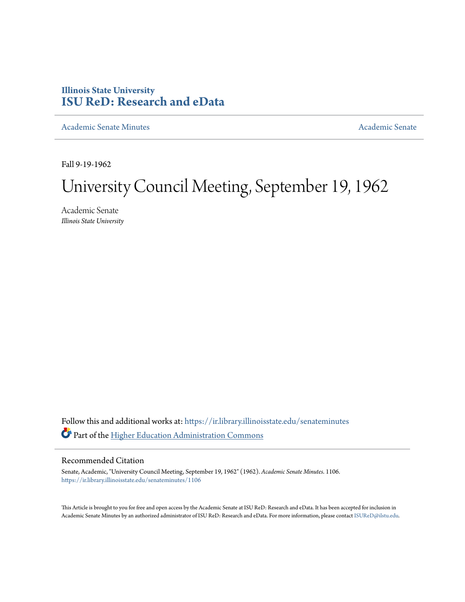# **Illinois State University [ISU ReD: Research and eData](https://ir.library.illinoisstate.edu?utm_source=ir.library.illinoisstate.edu%2Fsenateminutes%2F1106&utm_medium=PDF&utm_campaign=PDFCoverPages)**

[Academic Senate Minutes](https://ir.library.illinoisstate.edu/senateminutes?utm_source=ir.library.illinoisstate.edu%2Fsenateminutes%2F1106&utm_medium=PDF&utm_campaign=PDFCoverPages) [Academic Senate](https://ir.library.illinoisstate.edu/senate?utm_source=ir.library.illinoisstate.edu%2Fsenateminutes%2F1106&utm_medium=PDF&utm_campaign=PDFCoverPages) Academic Senate

Fall 9-19-1962

# University Council Meeting, September 19, 1962

Academic Senate *Illinois State University*

Follow this and additional works at: [https://ir.library.illinoisstate.edu/senateminutes](https://ir.library.illinoisstate.edu/senateminutes?utm_source=ir.library.illinoisstate.edu%2Fsenateminutes%2F1106&utm_medium=PDF&utm_campaign=PDFCoverPages) Part of the [Higher Education Administration Commons](http://network.bepress.com/hgg/discipline/791?utm_source=ir.library.illinoisstate.edu%2Fsenateminutes%2F1106&utm_medium=PDF&utm_campaign=PDFCoverPages)

# Recommended Citation

Senate, Academic, "University Council Meeting, September 19, 1962" (1962). *Academic Senate Minutes*. 1106. [https://ir.library.illinoisstate.edu/senateminutes/1106](https://ir.library.illinoisstate.edu/senateminutes/1106?utm_source=ir.library.illinoisstate.edu%2Fsenateminutes%2F1106&utm_medium=PDF&utm_campaign=PDFCoverPages)

This Article is brought to you for free and open access by the Academic Senate at ISU ReD: Research and eData. It has been accepted for inclusion in Academic Senate Minutes by an authorized administrator of ISU ReD: Research and eData. For more information, please contact [ISUReD@ilstu.edu.](mailto:ISUReD@ilstu.edu)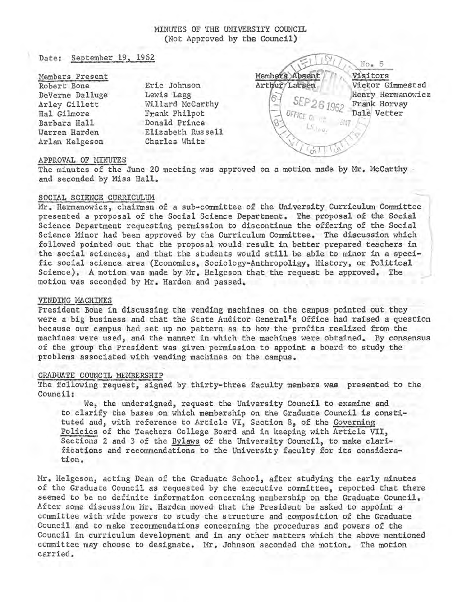## MINUTES OF THE UNIVERSITY COUNCIL (Not Approved by the Council)

Date: September 19, 1962

## Members Present

Robert Bone DeVerne Dalluge Arley Gillett Hal Gilmore Barbara Hall Warren Harden Arlan Helgeson Eric Johnson Lewis Legg Willard McCarthy Frank Philpot Donald Prince Elizabeth Russell Charles White

No. 5 Members Absent Visitors Arthur/Larsen Victor Gimmestad Henry Hermanowicz 6. Frank Horvay Dale Vetter

#### APPROVAL OF MINUTES

The minutes of the June 20 meeting was approved on a motion made by Mr. McCarthy and seconded by Miss Hall.

#### SOCIAL SCIENCE CURRICULUM

Mr. Hermanowicz, chairman of a sub-committee of the University Curriculum Committee presented a proposal of the Social Science Department. The proposal of the Social Science Department requesting permission to discontinue the offering of the Social Science Minor had been approved by the Curriculum Committee. The discussion which followed pointed out that the proposal would result in better prepared teachers in the social sciences, and that the students would still be able to minor in a specific social science area (Economics, Sociology-Anthropoligy, History, or Political Science). A motion was made by Mr. Helgeson that the request be approved. The motion was seconded by Mr. Harden and passed.

#### VENDING MACHINES

President Bone in discussing the vending machines on the campus pointed out they were a big business and that the State Auditor General's Office had raised a question because our campus had set up no pattern as to how the profits realized from the machines were used, and the manner in which the machines were obtained. By consensus of the group the President was given permission to appoint a board to study the problems associated with vending machines on the campus.

#### GRADUATE COUNCIL MEMBERSHIP

The following request, signed by thirty-three faculty members was presented to the Council:

We, the undersigned, request the University Council to examine and to clarify the bases on which membership on the Graduate Council is constituted and, with reference to Article VI, Section 8, of the Governing Policies of the Teachers College Board and in keeping with Article VII, Sections 2 and 3 of the Bylaws of the University Council, to make clarifications and recommendations to the University faculty for its consideration.

Mr. Helgeson, acting Dean of the Graduate School, after studying the early minutes of the Graduate Council as requested by the executive committee, reported that there seemed to be no definite information concerning membership on the Graduate Council. After some discussion Mr. Harden moved that the President be asked to appoint a committee with wide powers to study the structure and composition of the Graduate Council and to make recommendations concerning the procedures and powers of the Council in curriculum development and in any other matters which the above mentioned committee may choose to designate. Mr. Johnson seconded the motion. The motion carried.